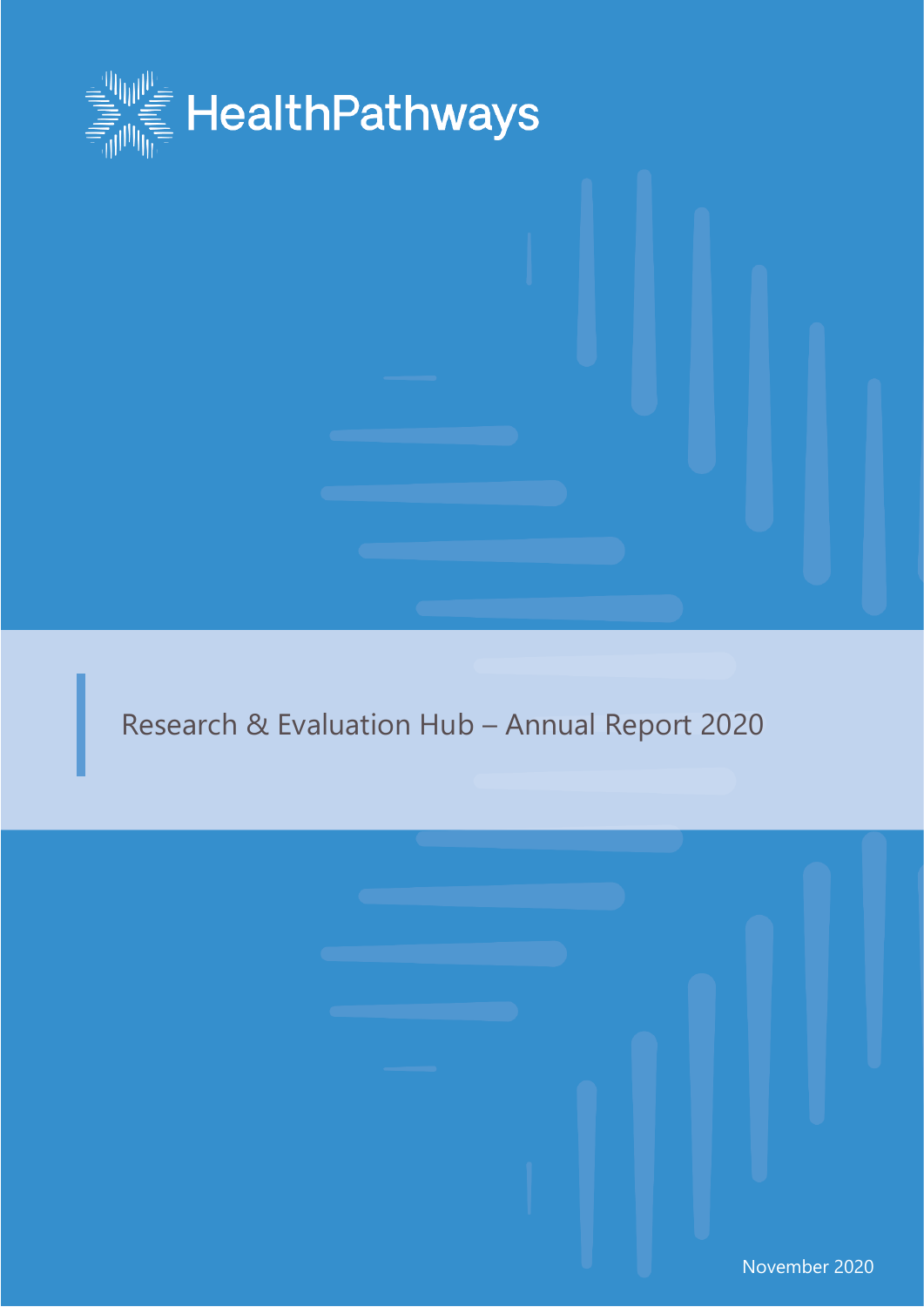

# Research & Evaluation Hub – Annual Report 2020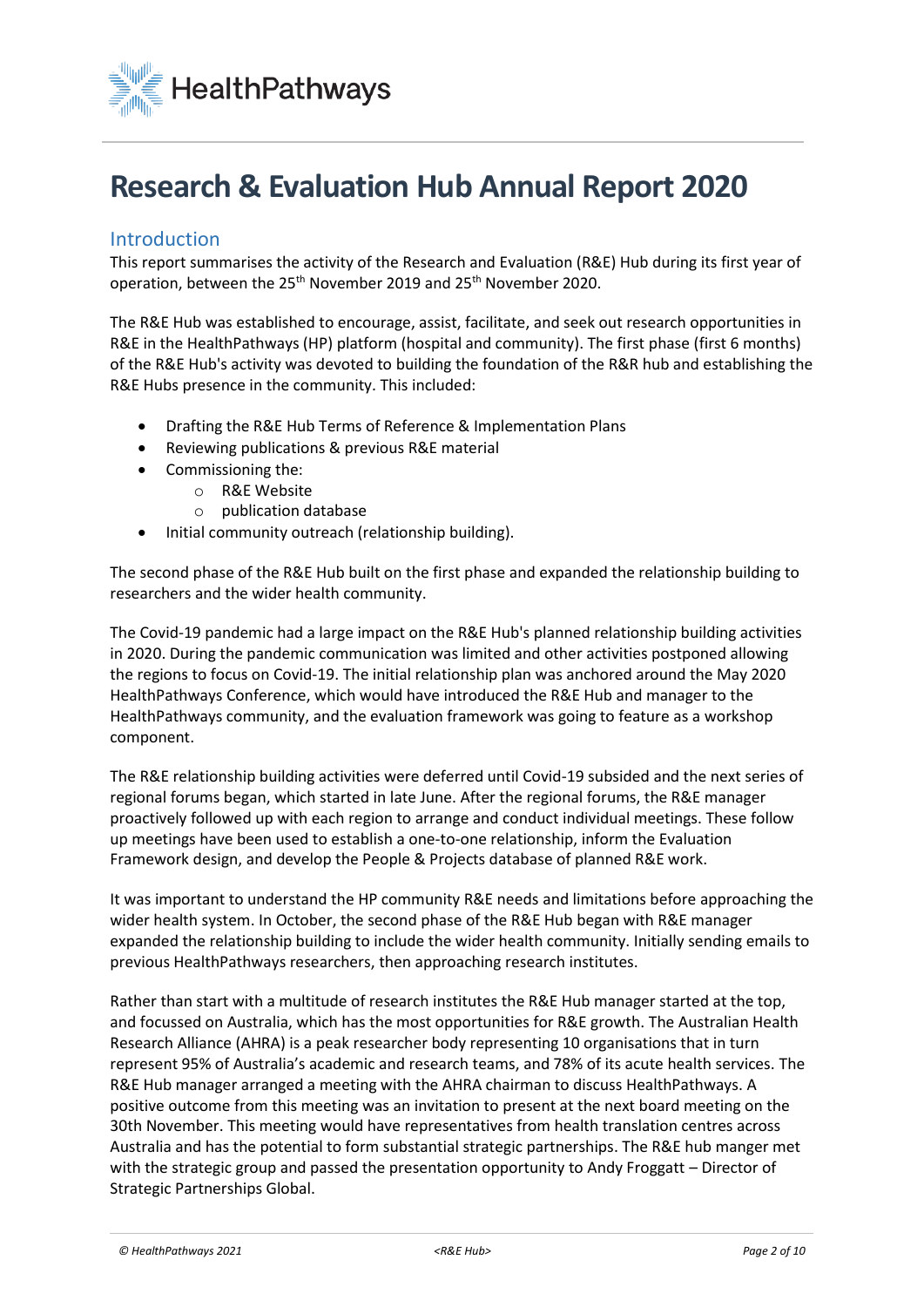

## **Research & Evaluation Hub Annual Report 2020**

## Introduction

This report summarises the activity of the Research and Evaluation (R&E) Hub during its first year of operation, between the 25<sup>th</sup> November 2019 and 25<sup>th</sup> November 2020.

The R&E Hub was established to encourage, assist, facilitate, and seek out research opportunities in R&E in the HealthPathways (HP) platform (hospital and community). The first phase (first 6 months) of the R&E Hub's activity was devoted to building the foundation of the R&R hub and establishing the R&E Hubs presence in the community. This included:

- Drafting the R&E Hub Terms of Reference & Implementation Plans
- Reviewing publications & previous R&E material
- Commissioning the:
	- o R&E Website
	- o publication database
- Initial community outreach (relationship building).

The second phase of the R&E Hub built on the first phase and expanded the relationship building to researchers and the wider health community.

The Covid-19 pandemic had a large impact on the R&E Hub's planned relationship building activities in 2020. During the pandemic communication was limited and other activities postponed allowing the regions to focus on Covid-19. The initial relationship plan was anchored around the May 2020 HealthPathways Conference, which would have introduced the R&E Hub and manager to the HealthPathways community, and the evaluation framework was going to feature as a workshop component.

The R&E relationship building activities were deferred until Covid-19 subsided and the next series of regional forums began, which started in late June. After the regional forums, the R&E manager proactively followed up with each region to arrange and conduct individual meetings. These follow up meetings have been used to establish a one-to-one relationship, inform the Evaluation Framework design, and develop the People & Projects database of planned R&E work.

It was important to understand the HP community R&E needs and limitations before approaching the wider health system. In October, the second phase of the R&E Hub began with R&E manager expanded the relationship building to include the wider health community. Initially sending emails to previous HealthPathways researchers, then approaching research institutes.

Rather than start with a multitude of research institutes the R&E Hub manager started at the top, and focussed on Australia, which has the most opportunities for R&E growth. The Australian Health Research Alliance (AHRA) is a peak researcher body representing 10 organisations that in turn represent 95% of Australia's academic and research teams, and 78% of its acute health services. The R&E Hub manager arranged a meeting with the AHRA chairman to discuss HealthPathways. A positive outcome from this meeting was an invitation to present at the next board meeting on the 30th November. This meeting would have representatives from health translation centres across Australia and has the potential to form substantial strategic partnerships. The R&E hub manger met with the strategic group and passed the presentation opportunity to Andy Froggatt – Director of Strategic Partnerships Global.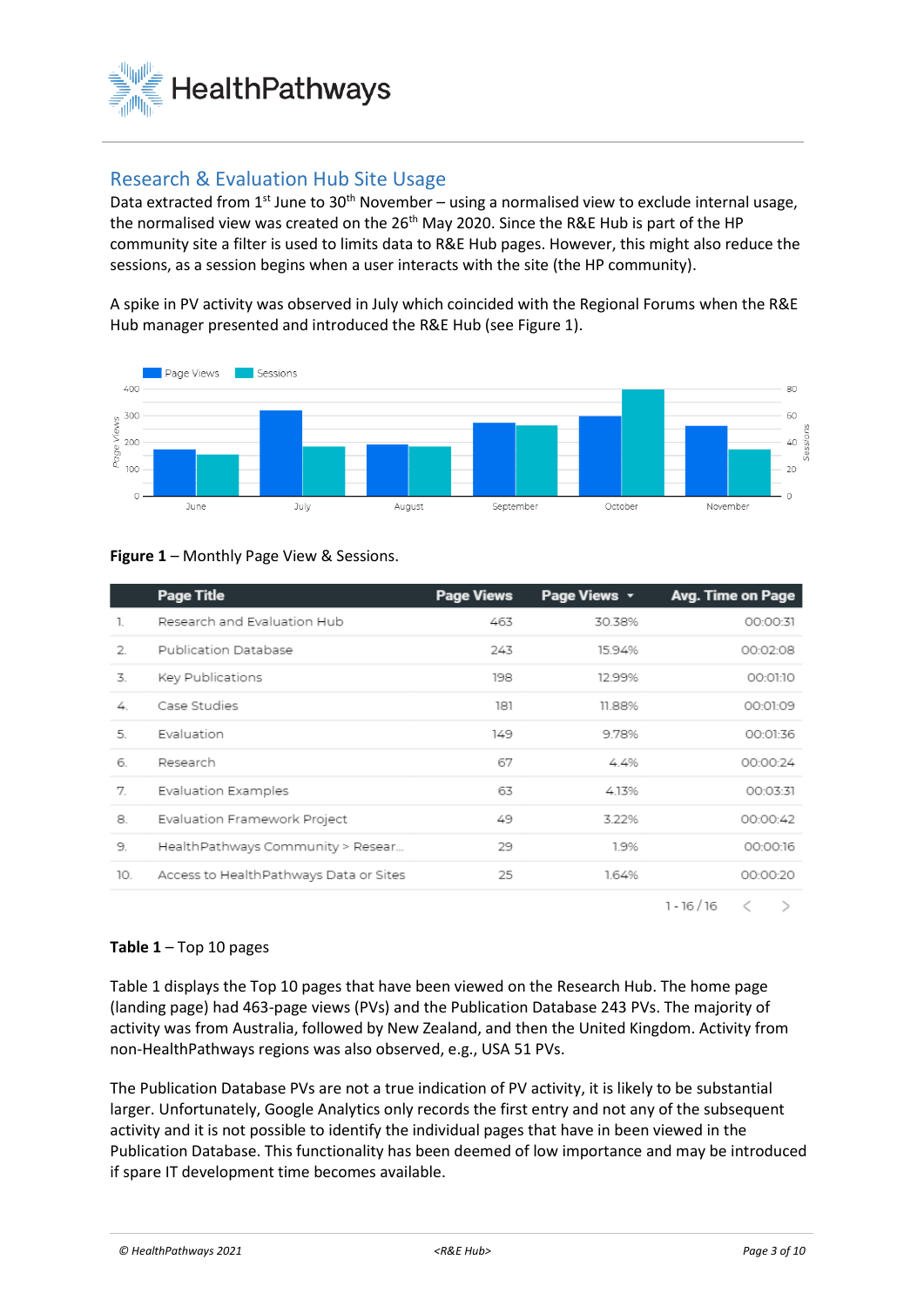

## Research & Evaluation Hub Site Usage

Data extracted from  $1^{st}$  June to  $30^{th}$  November – using a normalised view to exclude internal usage, the normalised view was created on the 26<sup>th</sup> May 2020. Since the R&E Hub is part of the HP community site a filter is used to limits data to R&E Hub pages. However, this might also reduce the sessions, as a session begins when a user interacts with the site (the HP community).

A spike in PV activity was observed in July which coincided with the Regional Forums when the R&E Hub manager presented and introduced the R&E Hub (see Figure 1).



#### **Figure 1** – Monthly Page View & Sessions.

|               | <b>Page Title</b>                      | <b>Page Views</b> | Page Views v | Avg. Time on Page |
|---------------|----------------------------------------|-------------------|--------------|-------------------|
| 1.            | Research and Evaluation Hub            | 463               | 30.38%       | 00:00:31          |
| $\mathcal{L}$ | Publication Database                   | 243               | 15.94%       | 00:02:08          |
| 3.            | Key Publications                       | 198               | 1299%        | 00:01:10          |
| 4             | Case Studies                           | 181               | 11.88%       | 00:01:09          |
| 5.            | Evaluation                             | 149               | 9.78%        | 00:01:36          |
| 6             | Research                               | 67                | 44%          | 00:00:24          |
| 7             | Evaluation Examples                    | 63                | 4.13%        | 00:03:31          |
| 8.            | Evaluation Framework Project           | 49                | 3.22%        | 00:00:42          |
| 9.            | HealthPathways Community > Resear      | 29                | 1.9%         | 00:00:16          |
| 10.           | Access to HealthPathways Data or Sites | 25                | 1.64%        | 00:00:20          |
|               |                                        |                   |              |                   |

 $1 - 16 / 16$  $\,<$  $\rightarrow$ 

#### **Table 1** – Top 10 pages

Table 1 displays the Top 10 pages that have been viewed on the Research Hub. The home page (landing page) had 463-page views (PVs) and the Publication Database 243 PVs. The majority of activity was from Australia, followed by New Zealand, and then the United Kingdom. Activity from non-HealthPathways regions was also observed, e.g., USA 51 PVs.

The Publication Database PVs are not a true indication of PV activity, it is likely to be substantial larger. Unfortunately, Google Analytics only records the first entry and not any of the subsequent activity and it is not possible to identify the individual pages that have in been viewed in the Publication Database. This functionality has been deemed of low importance and may be introduced if spare IT development time becomes available.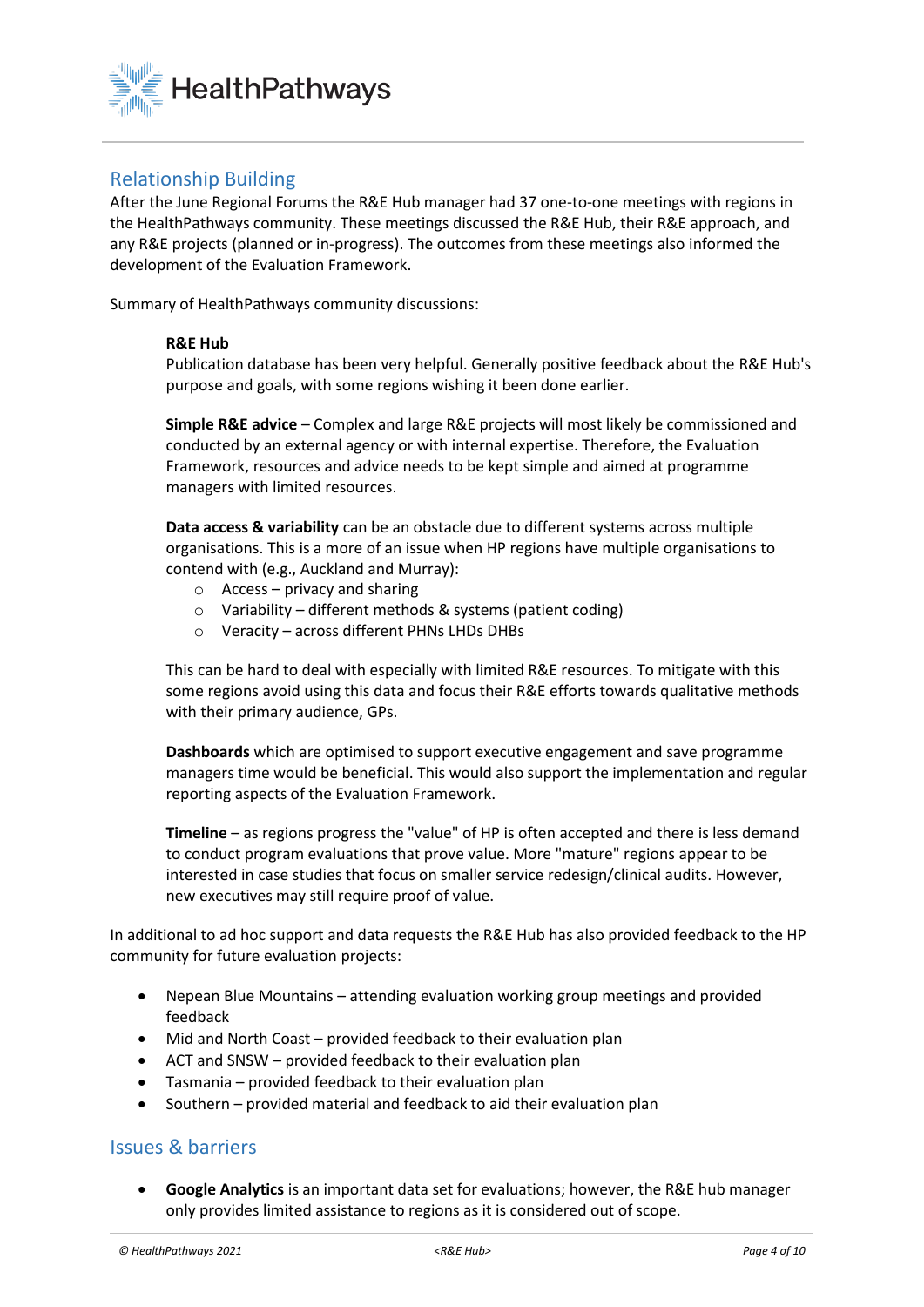

## Relationship Building

After the June Regional Forums the R&E Hub manager had 37 one-to-one meetings with regions in the HealthPathways community. These meetings discussed the R&E Hub, their R&E approach, and any R&E projects (planned or in-progress). The outcomes from these meetings also informed the development of the Evaluation Framework.

Summary of HealthPathways community discussions:

#### **R&E Hub**

Publication database has been very helpful. Generally positive feedback about the R&E Hub's purpose and goals, with some regions wishing it been done earlier.

**Simple R&E advice** – Complex and large R&E projects will most likely be commissioned and conducted by an external agency or with internal expertise. Therefore, the Evaluation Framework, resources and advice needs to be kept simple and aimed at programme managers with limited resources.

**Data access & variability** can be an obstacle due to different systems across multiple organisations. This is a more of an issue when HP regions have multiple organisations to contend with (e.g., Auckland and Murray):

- $\circ$  Access privacy and sharing
- o Variability different methods & systems (patient coding)
- o Veracity across different PHNs LHDs DHBs

This can be hard to deal with especially with limited R&E resources. To mitigate with this some regions avoid using this data and focus their R&E efforts towards qualitative methods with their primary audience, GPs.

**Dashboards** which are optimised to support executive engagement and save programme managers time would be beneficial. This would also support the implementation and regular reporting aspects of the Evaluation Framework.

**Timeline** – as regions progress the "value" of HP is often accepted and there is less demand to conduct program evaluations that prove value. More "mature" regions appear to be interested in case studies that focus on smaller service redesign/clinical audits. However, new executives may still require proof of value.

In additional to ad hoc support and data requests the R&E Hub has also provided feedback to the HP community for future evaluation projects:

- Nepean Blue Mountains attending evaluation working group meetings and provided feedback
- Mid and North Coast provided feedback to their evaluation plan
- ACT and SNSW provided feedback to their evaluation plan
- Tasmania provided feedback to their evaluation plan
- Southern provided material and feedback to aid their evaluation plan

#### Issues & barriers

• **Google Analytics** is an important data set for evaluations; however, the R&E hub manager only provides limited assistance to regions as it is considered out of scope.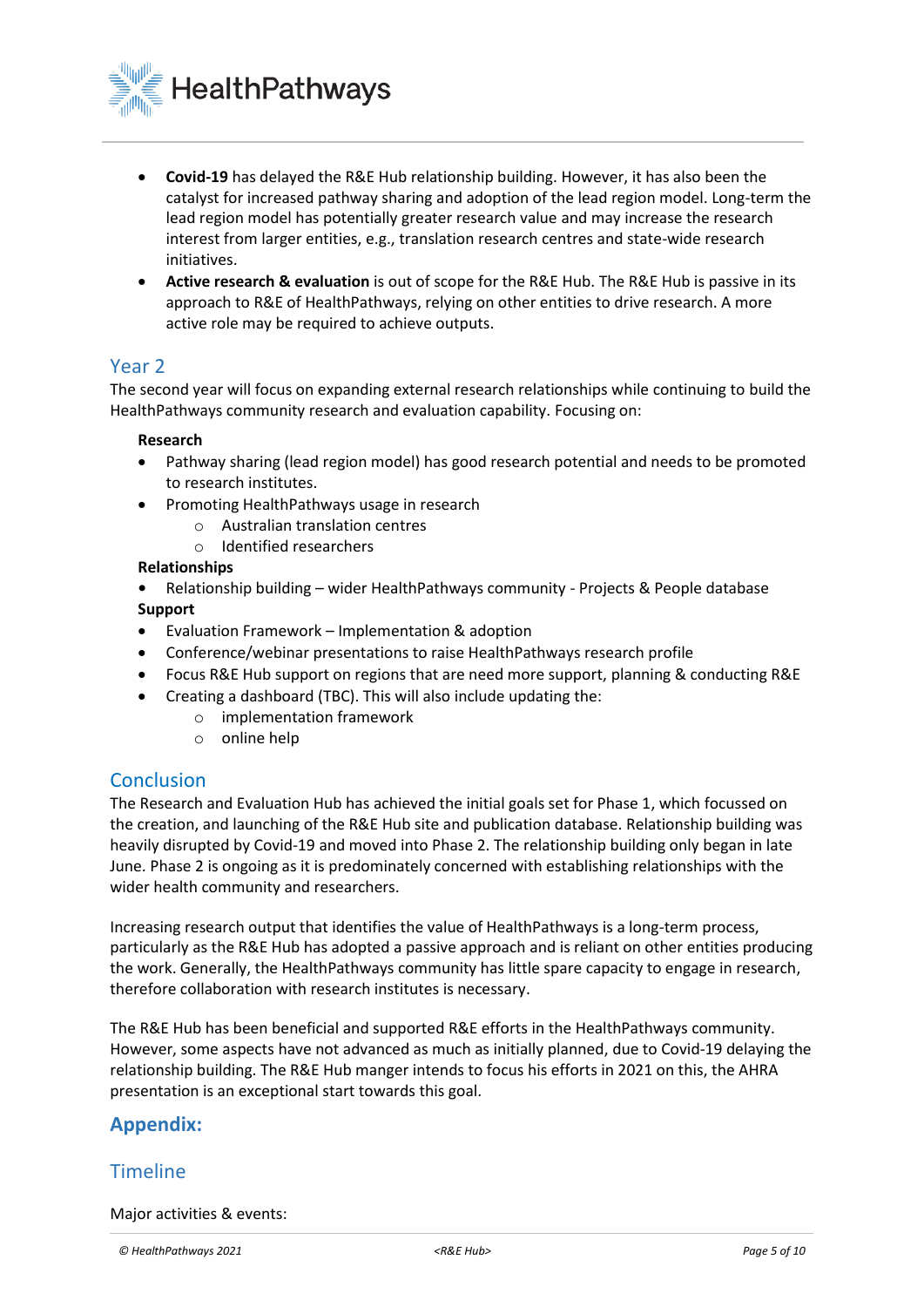

- **Covid-19** has delayed the R&E Hub relationship building. However, it has also been the catalyst for increased pathway sharing and adoption of the lead region model. Long-term the lead region model has potentially greater research value and may increase the research interest from larger entities, e.g., translation research centres and state-wide research initiatives.
- **Active research & evaluation** is out of scope for the R&E Hub. The R&E Hub is passive in its approach to R&E of HealthPathways, relying on other entities to drive research. A more active role may be required to achieve outputs.

### Year 2

The second year will focus on expanding external research relationships while continuing to build the HealthPathways community research and evaluation capability. Focusing on:

#### **Research**

- Pathway sharing (lead region model) has good research potential and needs to be promoted to research institutes.
- Promoting HealthPathways usage in research
	- o Australian translation centres
	- o Identified researchers

#### **Relationships**

- **•** Relationship building wider HealthPathways community Projects & People database **Support**
- Evaluation Framework Implementation & adoption
- Conference/webinar presentations to raise HealthPathways research profile
- Focus R&E Hub support on regions that are need more support, planning & conducting R&E
- Creating a dashboard (TBC). This will also include updating the:
	- o implementation framework
	- o online help

### **Conclusion**

The Research and Evaluation Hub has achieved the initial goals set for Phase 1, which focussed on the creation, and launching of the R&E Hub site and publication database. Relationship building was heavily disrupted by Covid-19 and moved into Phase 2. The relationship building only began in late June. Phase 2 is ongoing as it is predominately concerned with establishing relationships with the wider health community and researchers.

Increasing research output that identifies the value of HealthPathways is a long-term process, particularly as the R&E Hub has adopted a passive approach and is reliant on other entities producing the work. Generally, the HealthPathways community has little spare capacity to engage in research, therefore collaboration with research institutes is necessary.

The R&E Hub has been beneficial and supported R&E efforts in the HealthPathways community. However, some aspects have not advanced as much as initially planned, due to Covid-19 delaying the relationship building. The R&E Hub manger intends to focus his efforts in 2021 on this, the AHRA presentation is an exceptional start towards this goal.

## **Appendix:**

### **Timeline**

Major activities & events: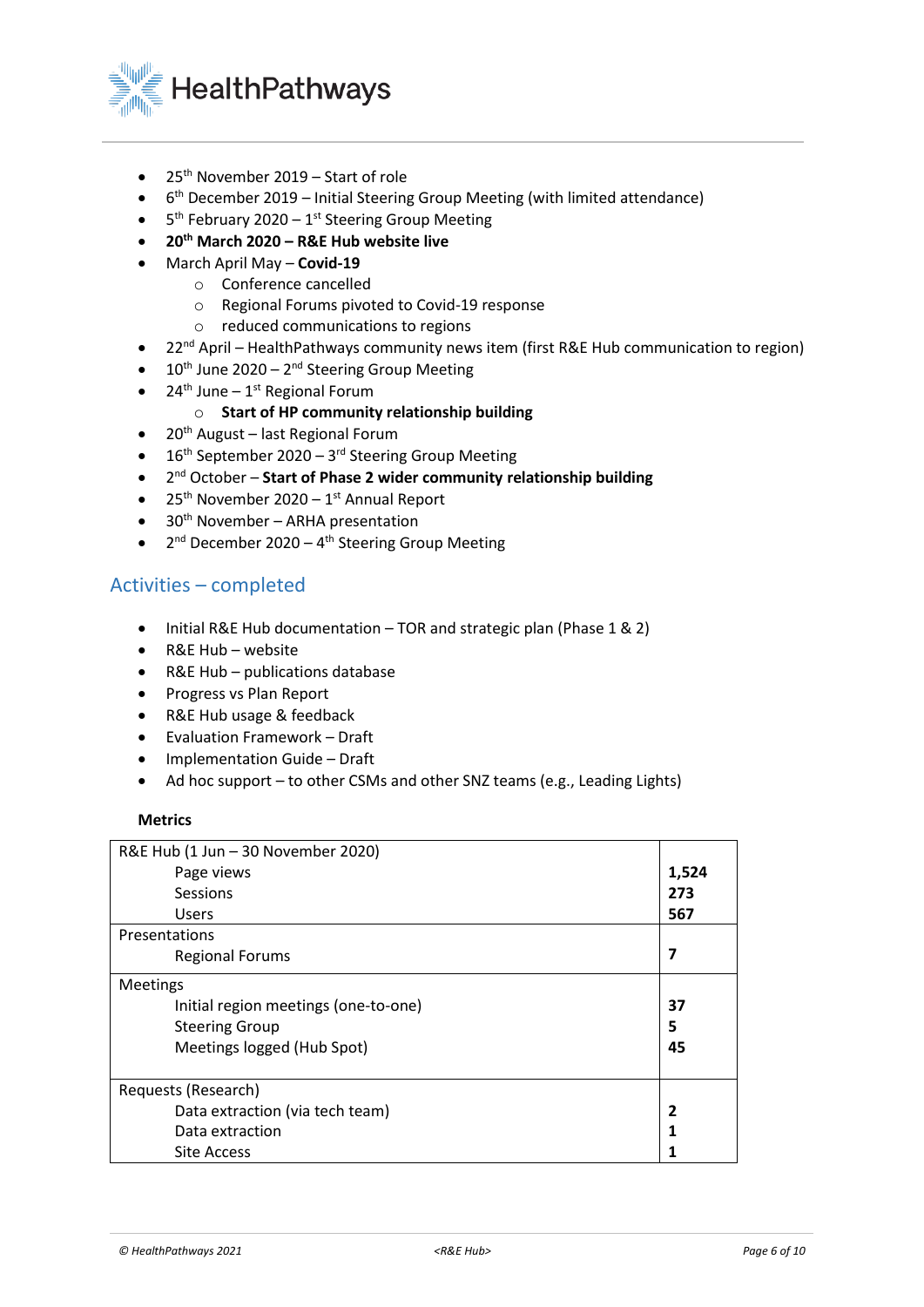

- 25<sup>th</sup> November 2019 Start of role
- 6<sup>th</sup> December 2019 Initial Steering Group Meeting (with limited attendance)
- $\bullet$  5<sup>th</sup> February 2020 1<sup>st</sup> Steering Group Meeting
- **20th March 2020 – R&E Hub website live**
- March April May **Covid-19**
	- o Conference cancelled
	- o Regional Forums pivoted to Covid-19 response
	- o reduced communications to regions
	- 22<sup>nd</sup> April HealthPathways community news item (first R&E Hub communication to region)
- $\bullet$  10<sup>th</sup> June 2020 2<sup>nd</sup> Steering Group Meeting
- $24<sup>th</sup>$  June  $1<sup>st</sup>$  Regional Forum
	- o **Start of HP community relationship building**
- $\bullet$  20<sup>th</sup> August last Regional Forum
- $\bullet$  16<sup>th</sup> September 2020 3<sup>rd</sup> Steering Group Meeting
- **•** 2<sup>nd</sup> October Start of Phase 2 wider community relationship building
- $25<sup>th</sup>$  November 2020 1<sup>st</sup> Annual Report
- $\bullet$  30<sup>th</sup> November ARHA presentation
- $2<sup>nd</sup>$  December 2020 4<sup>th</sup> Steering Group Meeting

## Activities – completed

- Initial R&E Hub documentation TOR and strategic plan (Phase 1 & 2)
- R&E Hub website
- R&E Hub publications database
- Progress vs Plan Report
- R&E Hub usage & feedback
- Evaluation Framework Draft
- Implementation Guide Draft
- Ad hoc support to other CSMs and other SNZ teams (e.g., Leading Lights)

#### **Metrics**

| R&E Hub (1 Jun - 30 November 2020)   |       |
|--------------------------------------|-------|
| Page views                           | 1,524 |
| Sessions                             | 273   |
| <b>Users</b>                         | 567   |
| Presentations                        |       |
| <b>Regional Forums</b>               | 7     |
| <b>Meetings</b>                      |       |
| Initial region meetings (one-to-one) | 37    |
| <b>Steering Group</b>                | 5     |
| Meetings logged (Hub Spot)           | 45    |
|                                      |       |
| Requests (Research)                  |       |
| Data extraction (via tech team)      | 2     |
| Data extraction                      |       |
| <b>Site Access</b>                   |       |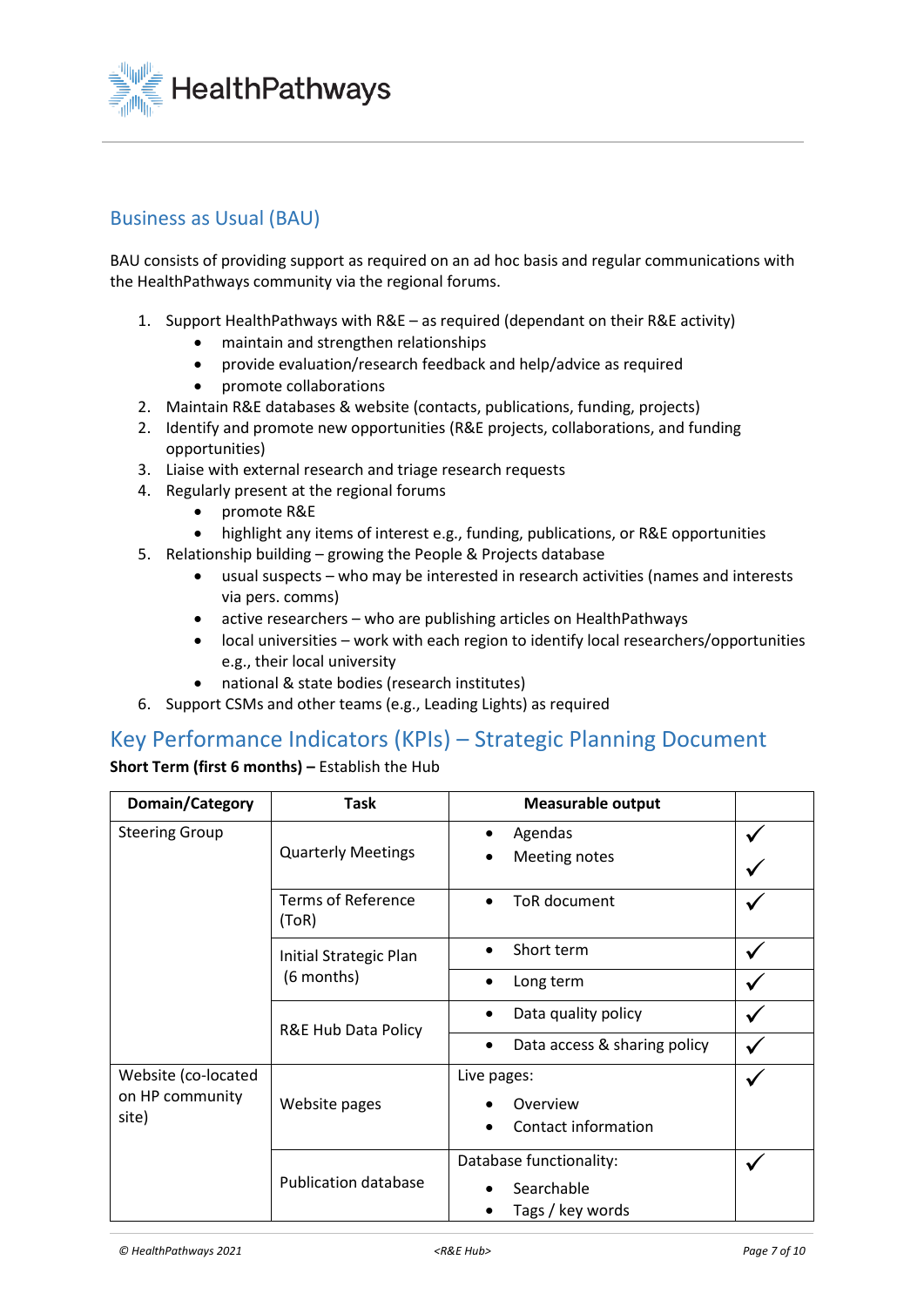

## Business as Usual (BAU)

BAU consists of providing support as required on an ad hoc basis and regular communications with the HealthPathways community via the regional forums.

- 1. Support HealthPathways with R&E as required (dependant on their R&E activity)
	- maintain and strengthen relationships
	- provide evaluation/research feedback and help/advice as required
	- promote collaborations
- 2. Maintain R&E databases & website (contacts, publications, funding, projects)
- 2. Identify and promote new opportunities (R&E projects, collaborations, and funding opportunities)
- 3. Liaise with external research and triage research requests
- 4. Regularly present at the regional forums
	- promote R&E
	- highlight any items of interest e.g., funding, publications, or R&E opportunities
- 5. Relationship building growing the People & Projects database
	- usual suspects who may be interested in research activities (names and interests via pers. comms)
	- active researchers who are publishing articles on HealthPathways
	- local universities work with each region to identify local researchers/opportunities e.g., their local university
	- national & state bodies (research institutes)
- 6. Support CSMs and other teams (e.g., Leading Lights) as required

## Key Performance Indicators (KPIs) – Strategic Planning Document

**Short Term (first 6 months) –** Establish the Hub

| Domain/Category                                 | <b>Task</b>                          | <b>Measurable output</b>                                  |  |
|-------------------------------------------------|--------------------------------------|-----------------------------------------------------------|--|
| <b>Steering Group</b>                           | <b>Quarterly Meetings</b>            | Agendas<br>Meeting notes                                  |  |
|                                                 | <b>Terms of Reference</b><br>(ToR)   | ToR document                                              |  |
|                                                 | Initial Strategic Plan<br>(6 months) | Short term                                                |  |
|                                                 |                                      | Long term<br>$\bullet$                                    |  |
|                                                 | R&E Hub Data Policy                  | Data quality policy<br>$\bullet$                          |  |
|                                                 |                                      | Data access & sharing policy<br>$\bullet$                 |  |
| Website (co-located<br>on HP community<br>site) | Website pages                        | Live pages:<br>Overview<br>Contact information            |  |
|                                                 | <b>Publication database</b>          | Database functionality:<br>Searchable<br>Tags / key words |  |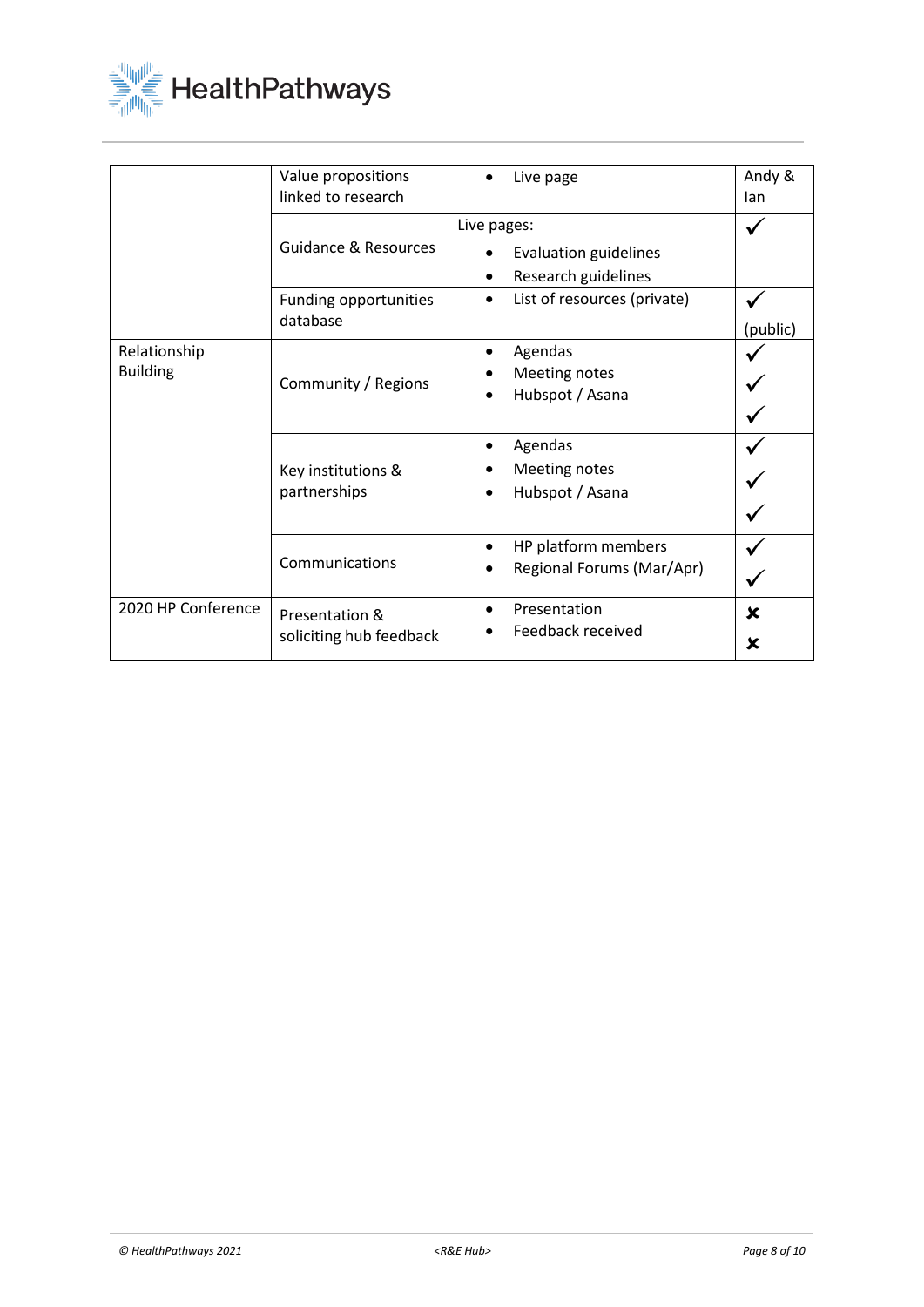

|                                 | Value propositions<br>linked to research                             | Live page                                                                                                                   | Andy &<br>lan |
|---------------------------------|----------------------------------------------------------------------|-----------------------------------------------------------------------------------------------------------------------------|---------------|
|                                 | <b>Guidance &amp; Resources</b><br>Funding opportunities<br>database | Live pages:<br><b>Evaluation guidelines</b><br>Research guidelines<br>$\bullet$<br>List of resources (private)<br>$\bullet$ |               |
| Relationship<br><b>Building</b> | Community / Regions                                                  | Agendas<br>Meeting notes<br>Hubspot / Asana                                                                                 | (public)      |
|                                 | Key institutions &<br>partnerships                                   | Agendas<br>Meeting notes<br>Hubspot / Asana                                                                                 |               |
|                                 | Communications                                                       | HP platform members<br>$\bullet$<br>Regional Forums (Mar/Apr)                                                               |               |
| 2020 HP Conference              | Presentation &<br>soliciting hub feedback                            | Presentation<br>Feedback received                                                                                           | ×<br>x        |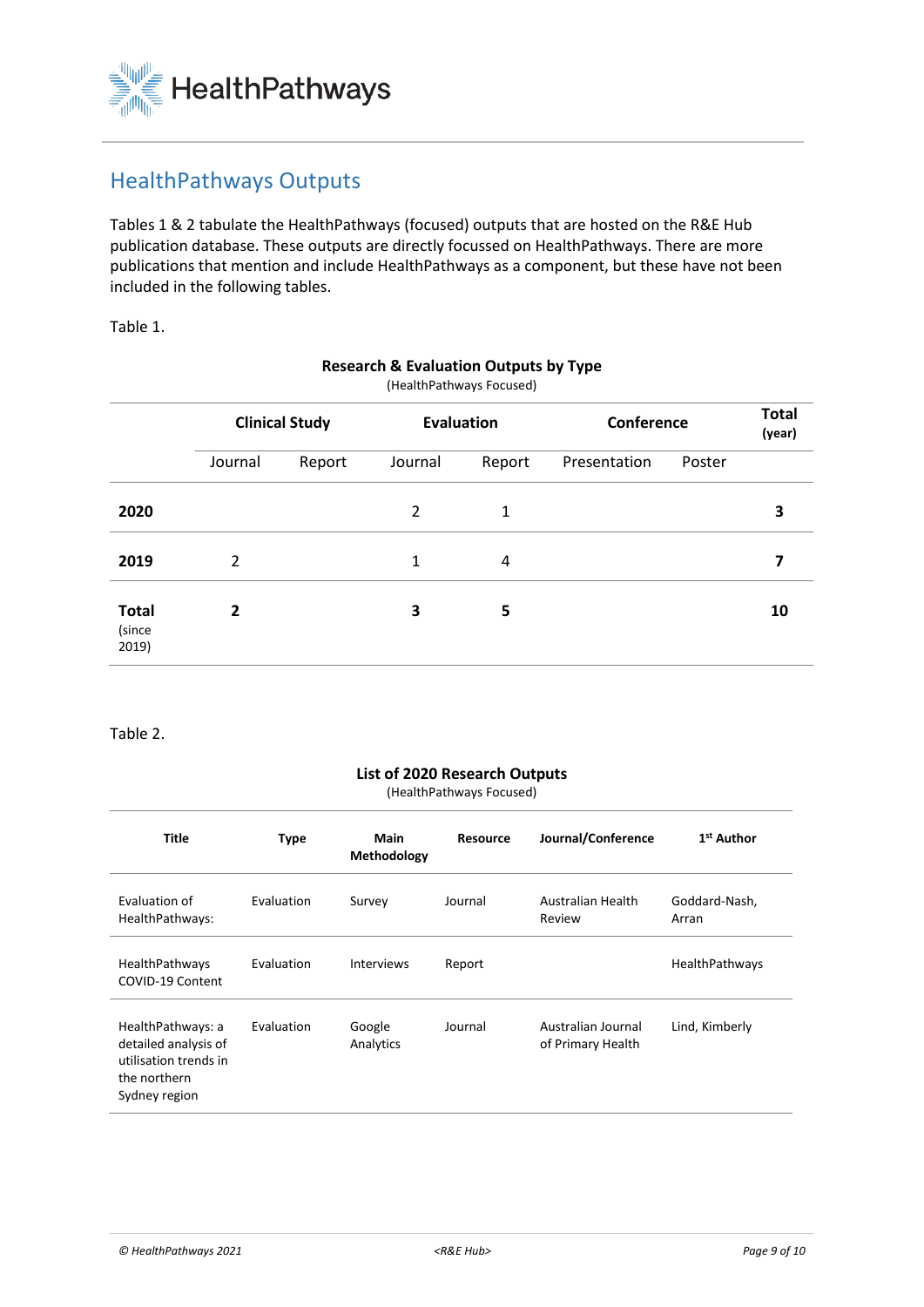

## HealthPathways Outputs

Tables 1 & 2 tabulate the HealthPathways (focused) outputs that are hosted on the R&E Hub publication database. These outputs are directly focussed on HealthPathways. There are more publications that mention and include HealthPathways as a component, but these have not been included in the following tables.

Table 1.

| (HealthPathways Focused)        |                       |        |                   |        |              |        |                        |
|---------------------------------|-----------------------|--------|-------------------|--------|--------------|--------|------------------------|
|                                 | <b>Clinical Study</b> |        | <b>Evaluation</b> |        | Conference   |        | <b>Total</b><br>(year) |
|                                 | Journal               | Report | Journal           | Report | Presentation | Poster |                        |
| 2020                            |                       |        | $\overline{2}$    | 1      |              |        | 3                      |
| 2019                            | 2                     |        | 1                 | 4      |              |        | 7                      |
| <b>Total</b><br>(since<br>2019) | 2                     |        | 3                 | 5      |              |        | 10                     |

#### **Research & Evaluation Outputs by Type**

Table 2.

#### **List of 2020 Research Outputs**

(HealthPathways Focused)

| <b>Title</b>                                                                                        | <b>Type</b> | Main<br>Methodology | <b>Resource</b> | Journal/Conference                      | 1 <sup>st</sup> Author |
|-----------------------------------------------------------------------------------------------------|-------------|---------------------|-----------------|-----------------------------------------|------------------------|
| Evaluation of<br>HealthPathways:                                                                    | Evaluation  | Survey              | Journal         | Australian Health<br>Review             | Goddard-Nash,<br>Arran |
| HealthPathways<br>COVID-19 Content                                                                  | Evaluation  | <b>Interviews</b>   | Report          |                                         | <b>HealthPathways</b>  |
| HealthPathways: a<br>detailed analysis of<br>utilisation trends in<br>the northern<br>Sydney region | Evaluation  | Google<br>Analytics | Journal         | Australian Journal<br>of Primary Health | Lind, Kimberly         |